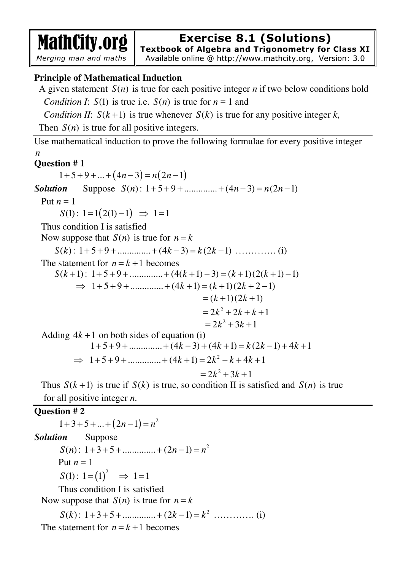MathCity.org  *Merging man and maths* 

# **Exercise 8.1 (Solutions)**

**Textbook of Algebra and Trigonometry for Class XI**

Available online @ http://www.mathcity.org, Version: 3.0

## **Principle of Mathematical Induction**

A given statement  $S(n)$  is true for each positive integer *n* if two below conditions hold *Condition I*:  $S(1)$  is true i.e.  $S(n)$  is true for  $n = 1$  and

*Condition II:*  $S(k+1)$  is true whenever  $S(k)$  is true for any positive integer k,

Then  $S(n)$  is true for all positive integers.

Use mathematical induction to prove the following formulae for every positive integer *n*

## **Question # 1**

 $1+5+9+...+(4n-3)=n(2n-1)$ *Solution* Suppose  $S(n)$ : 1+5+9+............... +  $(4n-3) = n(2n-1)$ Put  $n = 1$  $S(1)$ :  $1 = 1(2(1) - 1) \Rightarrow 1 = 1$  Thus condition I is satisfied Now suppose that  $S(n)$  is true for  $n = k$ 

*S k*( ) : 1 5 9 .............. (4 3) (2 1) + + + + − = − *k k k* …………. (i)

The statement for  $n = k + 1$  becomes

$$
S(k+1): 1+5+9+............+ (4(k+1)-3) = (k+1)(2(k+1)-1)
$$
  
\n
$$
\Rightarrow 1+5+9+............+ (4k+1) = (k+1)(2k+2-1)
$$
  
\n
$$
= (k+1)(2k+1)
$$
  
\n
$$
= 2k^2 + 2k + k + 1
$$
  
\n
$$
= 2k^2 + 3k + 1
$$

Adding  $4k + 1$  on both sides of equation (i)

$$
1+5+9+\dots + (4k-3) + (4k+1) = k(2k-1) + 4k+1
$$
  
\n
$$
\Rightarrow 1+5+9+\dots + (4k+1) = 2k^2 - k + 4k+1
$$
  
\n
$$
= 2k^2 + 3k + 1
$$

Thus  $S(k+1)$  is true if  $S(k)$  is true, so condition II is satisfied and  $S(n)$  is true for all positive integer *n*.

## **Question # 2**

 $1+3+5+...+(2n-1)=n^2$ *Solution* Suppose  $S(n)$ : 1+3+5+..............+(2*n*-1)=n<sup>2</sup> Put  $n = 1$  $S(1): 1 = (1)^2 \Rightarrow 1 = 1$ Thus condition I is satisfied Now suppose that  $S(n)$  is true for  $n = k$  $S(k)$ : 1+3+5+.............+(2k-1)=k<sup>2</sup> ...............(i)

The statement for  $n = k + 1$  becomes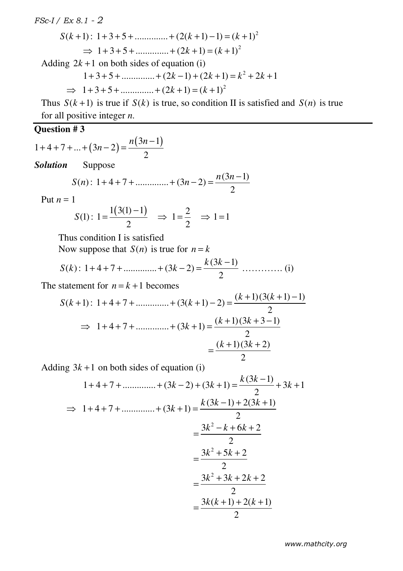$$
S(k+1): 1+3+5+\dots + (2(k+1)-1) = (k+1)^2
$$

 $\Rightarrow$  1+3+5+.............+(2k+1)=(k+1)<sup>2</sup>

Adding  $2k + 1$  on both sides of equation (i)

$$
1+3+5+\dots + (2k-1) + (2k+1) = k^2 + 2k + 1
$$

 $\implies$  1+3+5+.............+(2k+1)=(k+1)<sup>2</sup>

Thus  $S(k+1)$  is true if  $S(k)$  is true, so condition II is satisfied and  $S(n)$  is true for all positive integer *n*.

## **Question # 3**

$$
1+4+7+...+(3n-2) = \frac{n(3n-1)}{2}
$$

*Solution*Suppose

$$
S(n): 1+4+7+............+ (3n-2) = \frac{n(3n-1)}{2}
$$

Put  $n = 1$ 

$$
S(1): 1 = \frac{1(3(1)-1)}{2} \Rightarrow 1 = \frac{2}{2} \Rightarrow 1 = 1
$$

Thus condition I is satisfied

Now suppose that  $S(n)$  is true for  $n = k$ 

$$
S(k): 1+4+7+\dots + (3k-2) = \frac{k(3k-1)}{2} \dots \dots \dots \dots \dots (i)
$$

The statement for  $n = k + 1$  becomes

$$
S(k+1): 1+4+7+............+ (3(k+1)-2) = \frac{(k+1)(3(k+1)-1)}{2}
$$
  
\n
$$
\Rightarrow 1+4+7+............+ (3k+1) = \frac{(k+1)(3k+3-1)}{2}
$$
  
\n
$$
= \frac{(k+1)(3k+2)}{2}
$$

Adding  $3k + 1$  on both sides of equation (i)

$$
1+4+7+\dots + (3k-2) + (3k+1) = \frac{k(3k-1)}{2} + 3k + 1
$$
  
\n
$$
\Rightarrow 1+4+7+\dots + (3k+1) = \frac{k(3k-1)+2(3k+1)}{2}
$$
  
\n
$$
= \frac{3k^2 - k + 6k + 2}{2}
$$
  
\n
$$
= \frac{3k^2 + 5k + 2}{2}
$$
  
\n
$$
= \frac{3k^2 + 3k + 2k + 2}{2}
$$
  
\n
$$
= \frac{3k(k+1) + 2(k+1)}{2}
$$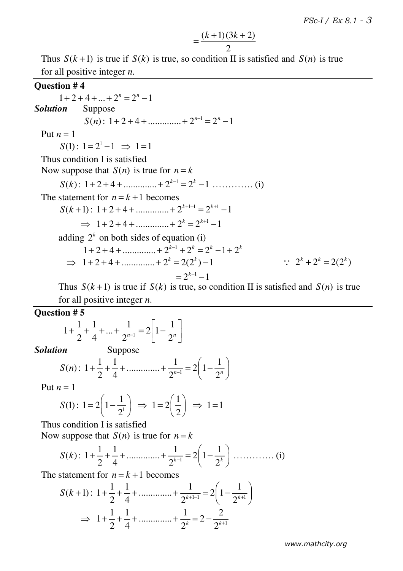$$
=\frac{(k+1)(3k+2)}{2}
$$

Thus  $S(k+1)$  is true if  $S(k)$  is true, so condition II is satisfied and  $S(n)$  is true for all positive integer *n*.

#### **Question # 4**

 $1 + 2 + 4 + \dots + 2^{n} = 2^{n} - 1$ *Solution* Suppose  $S(n): 1+2+4+...$   $2^{n-1}=2^n-1$ Put  $n = 1$  $S(1)$ :  $1 = 2^1 - 1 \implies 1 = 1$  Thus condition I is satisfied Now suppose that  $S(n)$  is true for  $n = k$  $S(k)$ : 1+2+4+..............+2<sup>k-1</sup> = 2<sup>k</sup> −1 .................. (i) The statement for  $n = k + 1$  becomes  $S(k+1): 1+2+4+...$ <br>*n*  $2^{k+1-1} = 2^{k+1}-1$  $\implies$  1+2+4+.............+2<sup>k</sup> = 2<sup>k+1</sup> -1 adding  $2^k$  on both sides of equation (i)  $1+2+4+...$   $2^{k-1}+2^k = 2^k - 1 + 2^k$  $\implies$  1+2+4+.............+2<sup>k</sup> = 2(2<sup>k</sup>)-1  $= 2^{k+1} - 1$  $\therefore$  2<sup>k</sup> + 2<sup>k</sup> = 2(2<sup>k</sup>)

Thus  $S(k+1)$  is true if  $S(k)$  is true, so condition II is satisfied and  $S(n)$  is true for all positive integer *n*.

**Question # 5** 

$$
1 + \frac{1}{2} + \frac{1}{4} + \dots + \frac{1}{2^{n-1}} = 2\left[1 - \frac{1}{2^n}\right]
$$
  
**Solution** Suppose

$$
S(n): 1 + \frac{1}{2} + \frac{1}{4} + \dots + \frac{1}{2^{n-1}} = 2\left(1 - \frac{1}{2^n}\right)
$$

Put  $n=1$ 

$$
S(1): 1 = 2\left(1 - \frac{1}{2^{1}}\right) \implies 1 = 2\left(\frac{1}{2}\right) \implies 1 = 1
$$

Thus condition I is satisfied

Now suppose that  $S(n)$  is true for  $n = k$ 

*S k*( ) : <sup>1</sup> 1 1 1 1 1 .............. 2 1 2 4 2 2 *k k* <sup>−</sup> + + + + = − …………. (i)

The statement for  $n = k + 1$  becomes

$$
S(k+1): 1 + \frac{1}{2} + \frac{1}{4} + \dots + \frac{1}{2^{k+1-1}} = 2\left(1 - \frac{1}{2^{k+1}}\right)
$$
  
\n
$$
\implies 1 + \frac{1}{2} + \frac{1}{4} + \dots + \frac{1}{2^k} = 2 - \frac{2}{2^{k+1}}
$$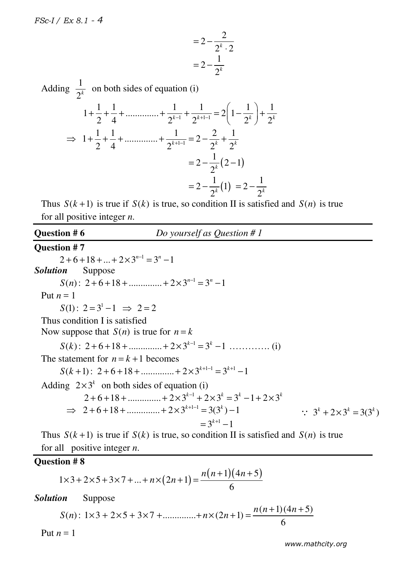$$
=2-\frac{2}{2^k\cdot 2}
$$

$$
=2-\frac{1}{2^k}
$$

Adding  $\frac{1}{2}$  $\frac{1}{2^k}$  on both sides of equation (i)  $1 + \frac{1}{2} + \frac{1}{4} + \dots + \frac{1}{2^{k-1}} + \frac{1}{2^{k+1-1}} = 2\left(1 - \frac{1}{2^k}\right) + \frac{1}{2^k}$  $2^{k+1}$  2<sup>k-1</sup>  $2^{k+1-1}$   $2^{k+1-1}$   $2^{k}$   $2^{k}$   $2^{k}$  $\begin{pmatrix} 1 \end{pmatrix}$  $+\frac{1}{2}+\frac{1}{4}+\dots+\{1}{2^{k-1}}+\frac{1}{2^{k+1-1}}=2\left(1-\frac{1}{2^k}\right)+$  $\Rightarrow 1 + \frac{1}{2} + \frac{1}{4} + \dots + \frac{1}{2^{k+1-1}} = 2 - \frac{2}{2^k} + \frac{1}{2^k}$  $\Rightarrow$  1+ $\frac{1}{2}$ + $\frac{1}{4}$ + .............+ $\frac{1}{2^{k+1-1}}$  = 2 - $\frac{2}{2^k}$  +  $\frac{1}{2^k}$  $= 2 - \frac{1}{2k} (2-1)$  $= 2 - \frac{1}{2^k} (2 = 2 - \frac{1}{2^k} (1)$  $= 2 - \frac{1}{2^k}$ 1 2  $= 2 - \frac{1}{2^k}$ 

Thus  $S(k+1)$  is true if  $S(k)$  is true, so condition II is satisfied and  $S(n)$  is true for all positive integer *n*.

# **Question # 6** *Do yourself as Question # 1*

#### **Question # 7**

 $2 + 6 + 18 + ... + 2 \times 3^{n-1} = 3^n - 1$ *Solution* Suppose  $S(n)$ : 2+6+18+..............+2×3<sup>n-1</sup> = 3<sup>n</sup> -1 Put  $n=1$  $S(1): 2 = 3<sup>1</sup> - 1 \Rightarrow 2 = 2$  Thus condition I is satisfied Now suppose that  $S(n)$  is true for  $n = k$ *S k*( ) : <sup>1</sup> 2 6 18 .............. 2 3 3 1 *k k* <sup>−</sup> + + + + × = − …………. (i) The statement for  $n = k + 1$  becomes  $S(k+1)$ : 2+6+18 + ............... + 2×3<sup>k+1-1</sup> = 3<sup>k+1</sup> -1 Adding  $2 \times 3^k$  on both sides of equation (i)  $2 + 6 + 18 + \dots + 2 \times 3^{k-1} + 2 \times 3^k = 3^k - 1 + 2 \times 3^k$  $\implies$  2 + 6 + 18 + .............. + 2 × 3<sup>k+1-1</sup> = 3(3<sup>k</sup>) – 1  $= 3^{k+1} - 1$  $\therefore$  3<sup>k</sup> + 2 × 3<sup>k</sup> = 3(3<sup>k</sup>)

Thus  $S(k+1)$  is true if  $S(k)$  is true, so condition II is satisfied and  $S(n)$  is true for all positive integer *n*.

#### **Question # 8**

$$
1 \times 3 + 2 \times 5 + 3 \times 7 + \dots + n \times (2n+1) = \frac{n(n+1)(4n+5)}{6}
$$

*Solution* Suppose

$$
S(n): 1 \times 3 + 2 \times 5 + 3 \times 7 + \dots + n \times (2n+1) = \frac{n(n+1)(4n+5)}{6}
$$

Put  $n=1$ 

 *www.mathcity.org*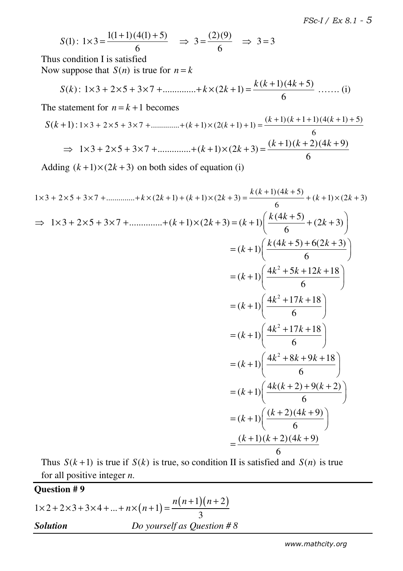$$
S(1): 1 \times 3 = \frac{1(1+1)(4(1)+5)}{6} \Rightarrow 3 = \frac{(2)(9)}{6} \Rightarrow 3 = 3
$$

 Thus condition I is satisfied Now suppose that  $S(n)$  is true for  $n = k$ 

$$
S(k): 1 \times 3 + 2 \times 5 + 3 \times 7 + \dots + k \times (2k+1) = \frac{k(k+1)(4k+5)}{6} \dots \dots (i)
$$

The statement for  $n = k + 1$  becomes

$$
S(k+1): 1 \times 3 + 2 \times 5 + 3 \times 7 + \dots + (k+1) \times (2(k+1)+1) = \frac{(k+1)(k+1+1)(4(k+1)+5)}{6}
$$
  
\n
$$
\implies 1 \times 3 + 2 \times 5 + 3 \times 7 + \dots + (k+1) \times (2k+3) = \frac{(k+1)(k+2)(4k+9)}{6}
$$

Adding  $(k+1)\times (2k+3)$  on both sides of equation (i)

$$
1 \times 3 + 2 \times 5 + 3 \times 7 + \dots + k \times (2k+1) + (k+1) \times (2k+3) = \frac{k(k+1)(4k+5)}{6} + (k+1) \times (2k+3)
$$
  
\n
$$
\Rightarrow 1 \times 3 + 2 \times 5 + 3 \times 7 + \dots + (k+1) \times (2k+3) = (k+1) \left( \frac{k(4k+5)}{6} + (2k+3) \right)
$$
  
\n
$$
= (k+1) \left( \frac{k(4k+5) + 6(2k+3)}{6} \right)
$$
  
\n
$$
= (k+1) \left( \frac{4k^2 + 5k + 12k + 18}{6} \right)
$$
  
\n
$$
= (k+1) \left( \frac{4k^2 + 17k + 18}{6} \right)
$$
  
\n
$$
= (k+1) \left( \frac{4k^2 + 17k + 18}{6} \right)
$$
  
\n
$$
= (k+1) \left( \frac{4k^2 + 8k + 9k + 18}{6} \right)
$$
  
\n
$$
= (k+1) \left( \frac{4k(k+2) + 9(k+2)}{6} \right)
$$
  
\n
$$
= (k+1) \left( \frac{k+2)(4k+9}{6} \right)
$$
  
\n
$$
= \frac{(k+1)(k+2)(4k+9)}{6}
$$

Thus  $S(k+1)$  is true if  $S(k)$  is true, so condition II is satisfied and  $S(n)$  is true for all positive integer *n*.

**Question # 9**  

$$
1 \times 2 + 2 \times 3 + 3 \times 4 + ... + n \times (n+1) = \frac{n(n+1)(n+2)}{3}
$$
  
**Solution** Do yourself as Question # 8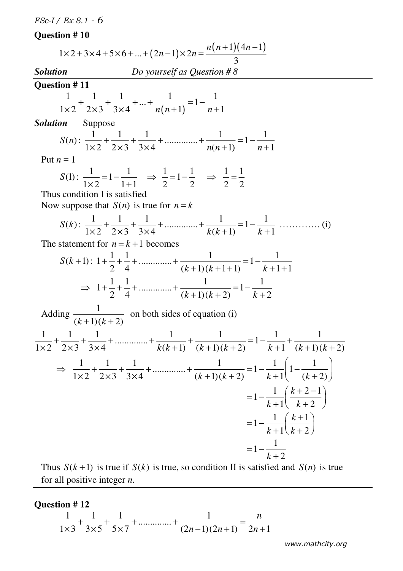# **Question # 10**

|                         | $1 \times 2 + 3 \times 4 + 5 \times 6 +  + (2n-1) \times 2n = \frac{n(n+1)(4n-1)}{2}$                                                                                                                            |
|-------------------------|------------------------------------------------------------------------------------------------------------------------------------------------------------------------------------------------------------------|
|                         |                                                                                                                                                                                                                  |
| Solution                | Do yourself as Question #8                                                                                                                                                                                       |
| Question #11            | $\frac{1}{1\times2} + \frac{1}{2\times3} + \frac{1}{3\times4} + \dots + \frac{1}{n(n+1)} = 1 - \frac{1}{n+1}$                                                                                                    |
| <b>Solution</b> Suppose |                                                                                                                                                                                                                  |
|                         | $S(n):$ $\frac{1}{1\times 2} + \frac{1}{2\times 3} + \frac{1}{3\times 4} + \dots + \frac{1}{n(n+1)} = 1 - \frac{1}{n+1}$                                                                                         |
| Put $n=1$               |                                                                                                                                                                                                                  |
|                         | $S(1): \frac{1}{1 \times 2} = 1 - \frac{1}{1+1} \Rightarrow \frac{1}{2} = 1 - \frac{1}{2} \Rightarrow \frac{1}{2} = \frac{1}{2}$<br>Thus condition I is satisfied<br>Now suppose that $S(n)$ is true for $n = k$ |
|                         | $S(k):$ $\frac{1}{1\times2} + \frac{1}{2\times3} + \frac{1}{3\times4} + \dots + \frac{1}{k(k+1)} = 1 - \frac{1}{k+1} + \dots$ (i)                                                                                |
|                         | The statement for $n = k + 1$ becomes                                                                                                                                                                            |
|                         | $S(k+1): 1+\frac{1}{2}+\frac{1}{4}+\dots+\frac{1}{(k+1)(k+1+1)}=1-\frac{1}{k+1+1}$                                                                                                                               |
|                         | $\Rightarrow 1 + \frac{1}{2} + \frac{1}{4} + \dots + \frac{1}{(k+1)(k+2)} = 1 - \frac{1}{k+2}$                                                                                                                   |
|                         | Adding $\frac{1}{(k+1)(k+2)}$ on both sides of equation (i)                                                                                                                                                      |
|                         | $\frac{1}{1 \times 2} + \frac{1}{2 \times 3} + \frac{1}{3 \times 4} + \dots + \frac{1}{k(k+1)} + \frac{1}{(k+1)(k+2)} = 1 - \frac{1}{k+1} + \frac{1}{(k+1)(k+2)}$                                                |
|                         | $\Rightarrow \frac{1}{1 \times 2} + \frac{1}{2 \times 3} + \frac{1}{3 \times 4} + \dots + \frac{1}{(k+1)(k+2)} = 1 - \frac{1}{k+1} \left( 1 - \frac{1}{(k+2)} \right)$                                           |
|                         | $=1-\frac{1}{k+1}\left(\frac{k+2-1}{k+2}\right)$                                                                                                                                                                 |
|                         | $=1-\frac{1}{k+1}\left(\frac{k+1}{k+2}\right)$                                                                                                                                                                   |
|                         | $=1-\frac{1}{k+2}$                                                                                                                                                                                               |

Thus  $S(k+1)$  is true if  $S(k)$  is true, so condition II is satisfied and  $S(n)$  is true for all positive integer *n*.

# **Question # 12**

$$
\frac{1}{1 \times 3} + \frac{1}{3 \times 5} + \frac{1}{5 \times 7} + \dots + \frac{1}{(2n-1)(2n+1)} = \frac{n}{2n+1}
$$

 *www.mathcity.org*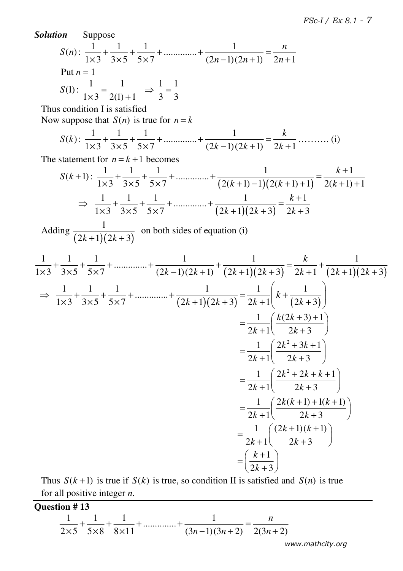Solution Suppose  
\n
$$
S(n): \frac{1}{1\times 3} + \frac{1}{3\times 5} + \frac{1}{5\times 7} + \dots + \frac{1}{(2n-1)(2n+1)} = \frac{n}{2n+1}
$$
\nPut  $n = 1$   
\n
$$
S(1): \frac{1}{1\times 3} = \frac{1}{2(1)+1} \Rightarrow \frac{1}{3} = \frac{1}{3}
$$
\nThus condition I is satisfied  
\nNow suppose that  $S(n)$  is true for  $n = k$   
\n
$$
S(k): \frac{1}{1\times 3} + \frac{1}{3\times 5} + \frac{1}{5\times 7} + \dots + \frac{1}{(2k-1)(2k+1)} = \frac{k}{2k+1} + \dots + (k+1) = \frac{k+1}{2(k+1)+1}
$$
\n
$$
\Rightarrow \frac{1}{1\times 3} + \frac{1}{3\times 5} + \frac{1}{5\times 7} + \dots + \frac{1}{(2(k+1)-1)(2(k+1)+1)} = \frac{k+1}{2(k+1)+1}
$$
\n
$$
\Rightarrow \frac{1}{1\times 3} + \frac{1}{3\times 5} + \frac{1}{5\times 7} + \dots + \frac{1}{(2k+1)(2k+3)} = \frac{k+1}{2k+3}
$$
\nAdding  $\frac{1}{(2k+1)(2k+3)}$  on both sides of equation (i)  
\n
$$
\frac{1}{1\times 3} + \frac{1}{3\times 5} + \frac{1}{5\times 7} + \dots + \frac{1}{(2k-1)(2k+1)} + \frac{1}{(2k+1)(2k+3)} = \frac{k}{2k+1} + \frac{1}{(2k+1)(2k+3)}
$$
\n
$$
\Rightarrow \frac{1}{1\times 3} + \frac{1}{3\times 5} + \frac{1}{5\times 7} + \dots + \frac{1}{(2k+1)(2k+3)} = \frac{1}{2k+1} \left(k + \frac{1}{(2k+3)}\right)
$$
\n
$$
= \frac{1}{2k+1} \left(\frac{k(2k+3)+1}{2k+3}\right)
$$
\n
$$
= \frac{1}{2k+1} \left(\frac{k(2k+3)+1}{2k+3}\right)
$$
\n
$$
= \frac{1}{
$$

for all positive integer *n*.

**Question # 13**   $1 \t1 \t1$ ..............  $2 \times 5$   $5 \times 8$   $8 \times 11$   $(3n-1)(3n+2)$   $2(3n+2)$ *n*  $n-1(3n+2)$  2(3*n*  $+\frac{1}{\epsilon_0}+\frac{1}{\epsilon_1}+\dots+\frac{1}{\epsilon_n}=\frac{1}{\epsilon_0}$  $\times 5$  5×8 8×11 (3n-1)(3n+2) 2(3n+

 *www.mathcity.org*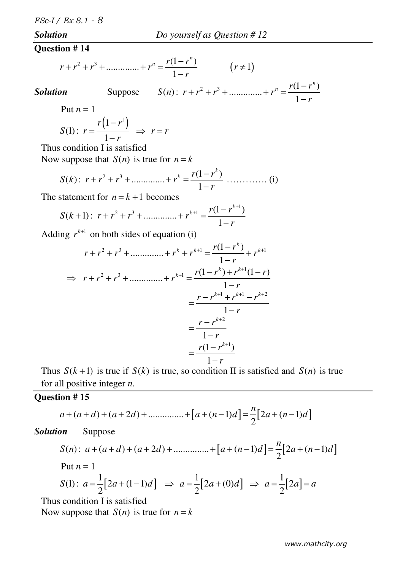#### *Solution Do yourself as Question # 12*

#### **Question # 14**

$$
r + r2 + r3 + \dots + rn = \frac{r(1 - rn)}{1 - r}
$$
 (r \neq 1)

**Solution** Suppose 
$$
S(n): r + r^2 + r^3 + \dots + r^n = \frac{r(1 - r^n)}{1 - r}
$$

Put  $n = 1$ 

$$
S(1): r = \frac{r(1 - r^1)}{1 - r} \Rightarrow r = r
$$

Thus condition I is satisfied

Now suppose that  $S(n)$  is true for  $n = k$ 

$$
S(k): r + r2 + r3 + \dots + rk = \frac{r(1 - rk)}{1 - r} \dots \dots \dots \dots (i)
$$

The statement for  $n = k + 1$  becomes

$$
S(k+1): r + r2 + r3 + \dots + rk+1 = \frac{r(1 - rk+1)}{1 - r}
$$

Adding  $r^{k+1}$  on both sides of equation (i)

$$
r + r^{2} + r^{3} + \dots + r^{k} + r^{k+1} = \frac{r(1 - r^{k})}{1 - r} + r^{k+1}
$$
  
\n
$$
\Rightarrow r + r^{2} + r^{3} + \dots + r^{k+1} = \frac{r(1 - r^{k}) + r^{k+1}(1 - r)}{1 - r}
$$
  
\n
$$
= \frac{r - r^{k+1} + r^{k+1} - r^{k+2}}{1 - r}
$$
  
\n
$$
= \frac{r - r^{k+2}}{1 - r}
$$
  
\n
$$
= \frac{r(1 - r^{k+1})}{1 - r}
$$

Thus  $S(k+1)$  is true if  $S(k)$  is true, so condition II is satisfied and  $S(n)$  is true for all positive integer *n*.

## **Question # 15**

$$
a + (a + d) + (a + 2d) + \dots + [a + (n-1)d] = \frac{n}{2} [2a + (n-1)d]
$$

*Solution* Suppose

$$
S(n): a + (a + d) + (a + 2d) + \dots + [a + (n-1)d] = \frac{n}{2} [2a + (n-1)d]
$$
  
Put  $n = 1$ 

$$
S(1): a = \frac{1}{2} [2a + (1-1)d] \Rightarrow a = \frac{1}{2} [2a + (0)d] \Rightarrow a = \frac{1}{2} [2a] = a
$$

Thus condition I is satisfied

Now suppose that  $S(n)$  is true for  $n = k$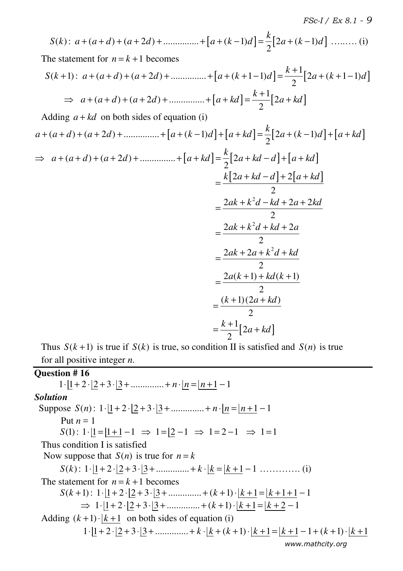$$
S(k): a + (a+d) + (a+2d) + \dots + [a+(k-1)d] = \frac{k}{2}[2a + (k-1)d] \dots
$$
\nThe statement for  $n = k+1$  becomes

\n
$$
S(k+1): a + (a+d) + (a+2d) + \dots + [a+(k+1-1)d] = \frac{k+1}{2}[2a + (k+1-1)d]
$$
\n
$$
\Rightarrow a + (a+d) + (a+2d) + \dots + [a+kd] = \frac{k+1}{2}[2a+kd]
$$
\nAdding  $a+kd$  on both sides of equation (i)

\n
$$
a + (a+d) + (a+2d) + \dots + [a+(k-1)d] + [a+kd] = \frac{k}{2}[2a+(k-1)d] + [a+kd]
$$
\n
$$
\Rightarrow a + (a+d) + (a+2d) + \dots + [a+kd] = \frac{k}{2}[2a+kd-d] + [a+kd]
$$
\n
$$
= \frac{k[2a+kd-d]+2[a+kd]}{2}
$$
\n
$$
= \frac{2ak+k^2d-kd+2a+2kd}{2}
$$
\n
$$
= \frac{2ak+2a+k^2d+kd+2a}{2}
$$
\n
$$
= \frac{2ak+2a+k^2d+kd}{2}
$$
\n
$$
= \frac{2a(k+1)+kd(k+1)}{2}
$$
\n
$$
= \frac{(k+1)(2a+kd)}{2}
$$

Thus  $S(k+1)$  is true if  $S(k)$  is true, so condition II is satisfied and  $S(n)$  is true for all positive integer *n*.

**Question # 16**   $1 \cdot |1 + 2 \cdot |2 + 3 \cdot |3 + \dots + n \cdot |n = |n + 1 - 1|$ 

 *www.mathcity.org Solution*  Suppose  $S(n)$ :  $1 \cdot \lfloor 1 + 2 \cdot \lfloor 2 + 3 \cdot \lfloor 3 + \dots \rfloor + n \cdot \lfloor n = \lfloor n + 1 \rfloor - 1$ Put  $n = 1$  $S(1): 1 \cdot \lfloor 1 = \lfloor 1 + 1 \rfloor - 1 \Rightarrow 1 = \lfloor 2 - 1 \rfloor \Rightarrow 1 = 2 - 1 \Rightarrow 1 = 1$  Thus condition I is satisfied Now suppose that  $S(n)$  is true for  $n = k$  $S(k)$ :  $1 \cdot |1 + 2 \cdot |2 + 3 \cdot |3 + \dots | k \cdot |k = |k + 1 - 1 \dots | (i)$ The statement for  $n = k + 1$  becomes  $S(k+1): 1 \cdot |1+2 \cdot |2+3 \cdot |3+.........+ (k+1) \cdot |k+1| = |k+1+1-1|$  $\Rightarrow 1 \cdot [1 + 2 \cdot [2 + 3 \cdot [3 + \dots + (k + 1) \cdot [k + 1 - k + 2 - 1$ Adding  $(k+1)$   $\cdot$   $\vert k+1$  on both sides of equation (i)  $1 \cdot |1 + 2 \cdot |2 + 3 \cdot |3 + \dots | k \cdot |k + (k+1) \cdot |k + 1 = |k+1-1+(k+1) \cdot |k+1|$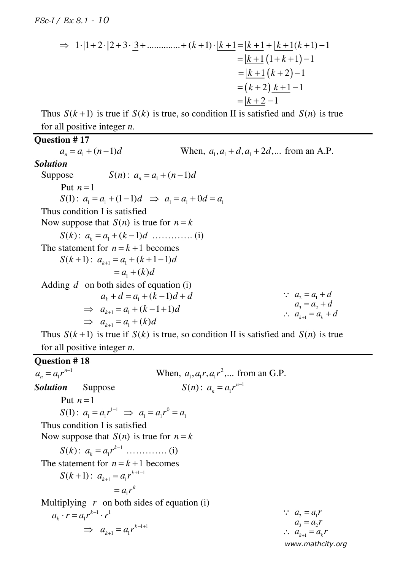$$
\Rightarrow 1 \cdot [1 + 2 \cdot [2 + 3 \cdot [3 + \dots] + (k + 1) \cdot [k + 1] = [k + 1 + [k + 1(k + 1) - 1]]
$$
  
\n
$$
= [k + 1 (1 + k + 1) - 1]
$$
  
\n
$$
= [k + 1 (k + 2) - 1]
$$
  
\n
$$
= (k + 2)[k + 1 - 1]
$$
  
\n
$$
= [k + 2 - 1]
$$

Thus  $S(k+1)$  is true if  $S(k)$  is true, so condition II is satisfied and  $S(n)$  is true for all positive integer *n*.

#### **Question # 17**

 $a_n = a_1 + (n-1)$ *a*<sub>1</sub>,  $a_1$ ,  $a_2$  +  $d$ ,  $a_3$  +  $2d$ ,... from an A.P. *Solution*  **Suppose**  $S(n): a_n = a_1 + (n-1)d$ Put  $n=1$  $S(1)$ :  $a_1 = a_1 + (1-1)d \implies a_1 = a_1 + 0d = a_1$  Thus condition I is satisfied Now suppose that  $S(n)$  is true for  $n = k$ *S k*( ) : <sup>1</sup> ( 1) *<sup>k</sup> a a k d* = + − …………. (i) The statement for  $n = k + 1$  becomes  $S(k+1)$ :  $a_{k+1} = a_1 + (k+1-1)d$  $= a_1 + (k) d$  Adding *d* on both sides of equation (i)  $a_k + d = a_1 + (k-1)d + d$  $\Rightarrow a_{k+1} = a_1 + (k-1+1)d$  $\Rightarrow a_{k+1} = a_1 + (k)d$ Thus  $S(k+1)$  is true if  $S(k)$  is true, so condition II is satisfied and  $S(n)$  is true  $\therefore$   $a_2 = a_1 + d$  $a_3 = a_2 + d$  $\therefore a_{k+1} = a_k + d$ 

# for all positive integer *n*.

 *www.mathcity.org*  **[Question # 18** 1 1 *n*  $a_n = a_1 r^{n-1}$  $= a_1 r^{n-1}$  When,  $a_1, a_1 r, a_1 r^2, ...$  from an G.P. **Solution** Suppose  $S(n)$ :  $a_n = a_1 r^{n-1}$ *n*  $a_n = a_1 r^{n-1}$ Put  $n=1$  $S(1)$ :  $a_1 = a_1 r^{1-1} \implies a_1 = a_1 r^0 = a_1$  Thus condition I is satisfied Now suppose that  $S(n)$  is true for  $n = k$  $S(k)$ :  $a_k = a_1 r^{k-1}$ *k*  $a_k = a_1 r^{k-1} \dots (i)$ The statement for  $n = k + 1$  becomes  $S(k+1): a_{k+1} = a_1 r^{k+1-1}$  $1 - u_1$ *k*  $a_{k+1} = a_{1} r^{k+1-1}$  $= a_1 r^k$ Multiplying  $r$  on both sides of equation (i)  $1 - 1$ 1 *k*  $a_k \cdot r = a_1 r^{k-1} \cdot r$  $-1 + 1$  $\mu_1 - \mu_1$ *k*  $\Rightarrow a_{k+1} = a_1 r^{k-1+1}$  $\therefore a_2 = a_1 r$  $a_3 = a_2 r$  $\therefore a_{k+1} = a_k r$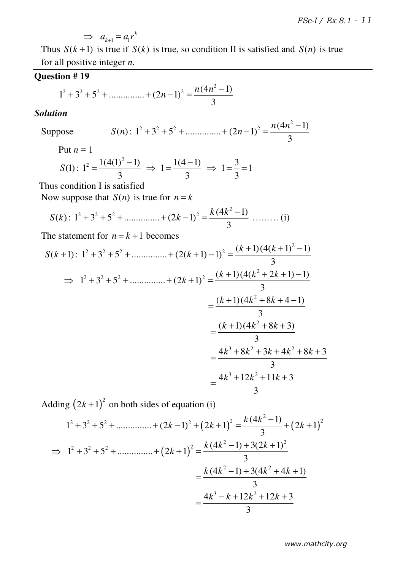$$
\implies a_{k+1} = a_1 r^k
$$

Thus  $S(k+1)$  is true if  $S(k)$  is true, so condition II is satisfied and  $S(n)$  is true for all positive integer *n*.

## **Question # 19**

$$
1^2 + 3^2 + 5^2 + \dots + (2n - 1)^2 = \frac{n(4n^2 - 1)}{3}
$$

#### *Solution*

Suppose 
$$
S(n): 1^2 + 3^2 + 5^2 + \dots + (2n-1)^2 = \frac{n(4n^2-1)}{3}
$$

Put  $n = 1$ 

$$
S(1): 12 = \frac{1(4(1)2 - 1)}{3} \Rightarrow 1 = \frac{1(4-1)}{3} \Rightarrow 1 = \frac{3}{3} = 1
$$

Thus condition I is satisfied

Now suppose that  $S(n)$  is true for  $n = k$ 

$$
S(k): 12 + 32 + 52 + \dots + (2k - 1)2 = \frac{k(4k2 - 1)}{3} \dots \dots (i)
$$

The statement for  $n = k + 1$  becomes

$$
S(k+1): 1^{2} + 3^{2} + 5^{2} + \dots + (2(k+1) - 1)^{2} = \frac{(k+1)(4(k+1)^{2} - 1)}{3}
$$
  
\n
$$
\Rightarrow 1^{2} + 3^{2} + 5^{2} + \dots + (2k+1)^{2} = \frac{(k+1)(4(k^{2} + 2k + 1) - 1)}{3}
$$
  
\n
$$
= \frac{(k+1)(4k^{2} + 8k + 4 - 1)}{3}
$$
  
\n
$$
= \frac{(k+1)(4k^{2} + 8k + 3)}{3}
$$
  
\n
$$
= \frac{4k^{3} + 8k^{2} + 3k + 4k^{2} + 8k + 3}{3}
$$
  
\n
$$
= \frac{4k^{3} + 12k^{2} + 11k + 3}{3}
$$

Adding  $(2k+1)^2$  on both sides of equation (i)

$$
1^{2} + 3^{2} + 5^{2} + \dots + (2k - 1)^{2} + (2k + 1)^{2} = \frac{k(4k^{2} - 1)}{3} + (2k + 1)^{2}
$$
  
\n
$$
\Rightarrow 1^{2} + 3^{2} + 5^{2} + \dots + (2k + 1)^{2} = \frac{k(4k^{2} - 1) + 3(2k + 1)^{2}}{3}
$$
  
\n
$$
= \frac{k(4k^{2} - 1) + 3(4k^{2} + 4k + 1)}{3}
$$
  
\n
$$
= \frac{4k^{3} - k + 12k^{2} + 12k + 3}{3}
$$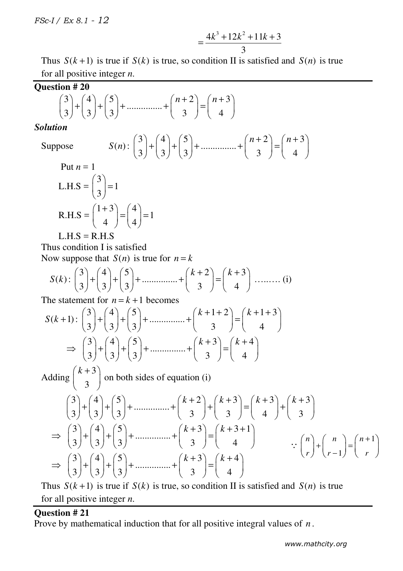$$
=\frac{4k^3+12k^2+11k+3}{3}
$$

Thus  $S(k+1)$  is true if  $S(k)$  is true, so condition II is satisfied and  $S(n)$  is true for all positive integer *n*.

Question # 20  
\n
$$
\binom{3}{3} + \binom{4}{3} + \binom{5}{3} + \dots + \binom{n+2}{3} = \binom{n+3}{4}
$$
\nSolution

#### *Solution*

Suppose *S n*( ) :

$$
S(n): \binom{3}{3} + \binom{4}{3} + \binom{5}{3} + \dots + \binom{n+2}{3} = \binom{n+3}{4}
$$

Put 
$$
n = 1
$$
  
\nL.H.S =  $\binom{3}{3} = 1$   
\nR.H.S =  $\binom{1+3}{4} = \binom{4}{4} = 1$ 

 $L.H.S = R.H.S$ 

 Thus condition I is satisfied Now suppose that  $S(n)$  is true for  $n = k$ 

$$
S(k): \binom{3}{3} + \binom{4}{3} + \binom{5}{3} + \dots + \binom{k+2}{3} = \binom{k+3}{4} + \dots + \dots
$$
 (i)

The statement for  $n = k + 1$  becomes

$$
S(k+1): \binom{3}{3} + \binom{4}{3} + \binom{5}{3} + \dots + \binom{k+1+2}{3} = \binom{k+1+3}{4}
$$

$$
\Rightarrow \binom{3}{3} + \binom{4}{3} + \binom{5}{3} + \dots + \binom{k+3}{3} = \binom{k+4}{4}
$$

 Adding 3 3  $(k+3)$  $\begin{pmatrix} 1 & 1 \\ 3 & 1 \end{pmatrix}$  on both sides of equation (i)

$$
\begin{pmatrix} 3 \\ 3 \end{pmatrix} + \binom{4}{3} + \binom{5}{3} + \dots + \binom{k+2}{3} + \binom{k+3}{4} = \binom{k+3}{4} + \binom{k+3}{3}
$$
\n
$$
\Rightarrow \binom{3}{3} + \binom{4}{3} + \binom{5}{3} + \dots + \binom{k+3}{3} = \binom{k+3+1}{4} \qquad \qquad \therefore \binom{n}{r} + \binom{n}{r-1} = \binom{n+1}{r}
$$
\n
$$
\Rightarrow \binom{3}{3} + \binom{4}{3} + \binom{5}{3} + \dots + \binom{k+3}{3} = \binom{k+4}{4}
$$

Thus  $S(k+1)$  is true if  $S(k)$  is true, so condition II is satisfied and  $S(n)$  is true for all positive integer *n*.

#### **Question # 21**

Prove by mathematical induction that for all positive integral values of *n* .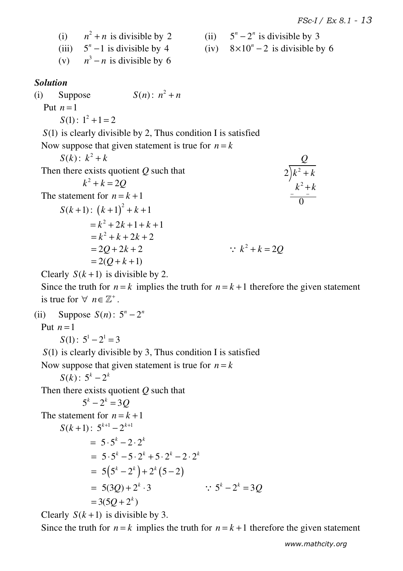2

*Q*

+

+

2

 $\overline{0}$ 

(i)  $n^2 + n$  is divisible by 2 (ii)  $5^n - 2^n$ (ii)  $5^n - 2^n$  is divisible by 3 (iii)  $5^n - 1$  is divisible by 4 (iv)  $8 \times 10^n - 2$ (iv)  $8 \times 10^{n} - 2$  is divisible by 6 (v)  $n^3 - n$  is divisible by 6 *Solution*  (i) Suppose  $S(n)$ :  $n^2 + n$ Put  $n=1$  $S(1): 1^2 + 1 = 2$  *S*(1) is clearly divisible by 2, Thus condition I is satisfied Now suppose that given statement is true for  $n = k$  $S(k) : k^2 + k$  Then there exists quotient *Q* such that  $k^2 + k = 2Q$ The statement for  $n = k + 1$  $S(k+1)$ :  $(k+1)^2 + k + 1$  $= k^2 + 2k + 1 + k + 1$  $=k^2 + k + 2k + 2$  $= 20 + 2k + 2$ ∴  $k^2 + k = 2Q$  $= 2(Q + k + 1)$ 2  $k^2 + k$  $k^2 + k$ 

Clearly  $S(k+1)$  is divisible by 2.

Since the truth for  $n = k$  implies the truth for  $n = k + 1$  therefore the given statement is true for  $\forall$   $n \in \mathbb{Z}^+$ .

(ii) Suppose  $S(n) : 5^n - 2^n$ Put  $n=1$  $S(1)$ :  $5^1 - 2^1 = 3$ *S*(1) is clearly divisible by 3, Thus condition I is satisfied

Now suppose that given statement is true for  $n = k$ 

 $S(k) : 5^k - 2^k$ 

Then there exists quotient *Q* such that

$$
5^{k} - 2^{k} = 3Q
$$
  
The statement for  $n = k + 1$   

$$
S(k+1): 5^{k+1} - 2^{k+1}
$$

$$
= 5 \cdot 5^{k} - 2 \cdot 2^{k}
$$

$$
= 5 \cdot 5^{k} - 5 \cdot 2^{k} + 5 \cdot 2^{k} - 2 \cdot 2^{k}
$$

$$
= 5(5^{k} - 2^{k}) + 2^{k}(5 - 2)
$$

$$
= 5(3Q) + 2^{k} \cdot 3 \qquad \therefore 5^{k} - 2^{k} = 3Q
$$

$$
= 3(5Q + 2^{k})
$$

Clearly  $S(k+1)$  is divisible by 3.

Since the truth for  $n = k$  implies the truth for  $n = k + 1$  therefore the given statement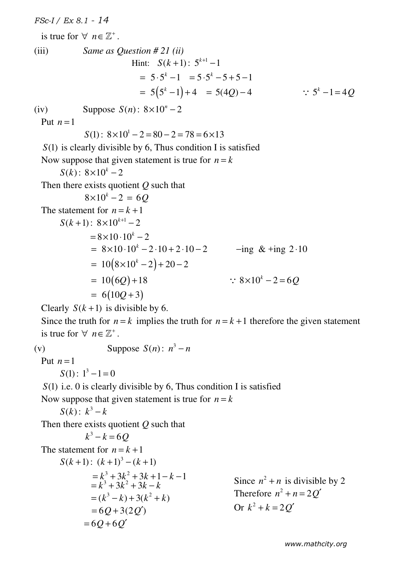*FSc-I / Ex 8.1 - 14* is true for  $\forall$   $n \in \mathbb{Z}^+$ . (iii) *Same as Question # 21 (ii)* Hint:  $S(k+1)$ :  $5^{k+1}$  – 1  $= 5 \cdot 5^{k} - 1 = 5 \cdot 5^{k} - 5 + 5 - 1$  $= 5(5<sup>k</sup> - 1) + 4 = 5(4Q) - 4$   $\therefore 5<sup>k</sup> - 1 = 4Q$ (iv) Suppose  $S(n)$ :  $8 \times 10^n - 2$ Put  $n=1$  $S(1): 8 \times 10^{1} - 2 = 80 - 2 = 78 = 6 \times 13$  *S*(1) is clearly divisible by 6, Thus condition I is satisfied Now suppose that given statement is true for  $n = k$  $S(k)$ :  $8 \times 10^{k} - 2$  Then there exists quotient *Q* such that  $8 \times 10^{k} - 2 = 6Q$ The statement for  $n = k + 1$  $S(k+1)$ :  $8\times10^{k+1}$  – 2  $= 8 \times 10 \cdot 10^{k} - 2$  $= 8 \times 10 \cdot 10^{k} - 2 \cdot 10 + 2 \cdot 10 - 2$   $-$ ing & +ing 2 · 10  $= 10 (8 \times 10^{k} - 2) + 20 - 2$  $= 10(6Q) + 18$   $\therefore 8 \times 10^{k} - 2 = 6Q$  $= 6(10Q + 3)$ Clearly  $S(k+1)$  is divisible by 6. Since the truth for  $n = k$  implies the truth for  $n = k + 1$  therefore the given statement is true for  $\forall$   $n \in \mathbb{Z}^+$ . (v) **Suppose**  $S(n)$ **:**  $n^3 - n$ Put  $n=1$  $S(1): 1^3 - 1 = 0$ *S*(1) i.e. 0 is clearly divisible by 6, Thus condition I is satisfied Now suppose that given statement is true for  $n = k$ *S*(*k*):  $k^3 - k$  Then there exists quotient *Q* such that  $k^3 - k = 6Q$ The statement for  $n = k + 1$  $S(k+1)$ :  $(k+1)^3 - (k+1)$ 

$$
= k3 + 3k2 + 3k + 1 - k - 1
$$
  
\n
$$
= k3 + 3k2 + 3k + 1 - k - 1
$$
  
\n
$$
= (k3 - k) + 3(k2 + k)
$$
  
\n
$$
= 6Q + 3(2Q')
$$
  
\n
$$
= 6Q + 6Q'
$$

Since  $n^2 + n$  is divisible by 2 Therefore  $n^2 + n = 2Q'$ Or  $k^2 + k = 2Q'$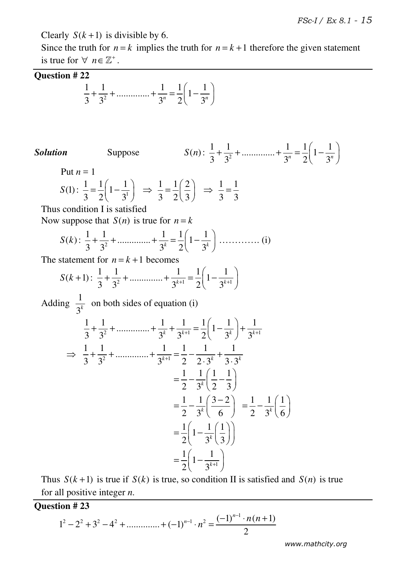Clearly  $S(k+1)$  is divisible by 6.

Since the truth for  $n = k$  implies the truth for  $n = k + 1$  therefore the given statement is true for  $\forall$   $n \in \mathbb{Z}^+$ .

## **Question # 22**

$$
\frac{1}{3} + \frac{1}{3^2} + \dots + \frac{1}{3^n} = \frac{1}{2} \left( 1 - \frac{1}{3^n} \right)
$$

 *Suppose* 

$$
S(n): \frac{1}{3} + \frac{1}{3^2} + \dots + \frac{1}{3^n} = \frac{1}{2} \left( 1 - \frac{1}{3^n} \right)
$$

Put  $n = 1$ 

$$
S(1): \frac{1}{3} = \frac{1}{2} \left( 1 - \frac{1}{3^{1}} \right) \implies \frac{1}{3} = \frac{1}{2} \left( \frac{2}{3} \right) \implies \frac{1}{3} = \frac{1}{3}
$$

Thus condition I is satisfied

Now suppose that  $S(n)$  is true for  $n = k$ 

*S k*( ) : <sup>2</sup> 1 1 1 1 1 .............. 1 3 3 3 2 3 *k k* + + + = − …………. (i)

The statement for  $n = k + 1$  becomes

$$
S(k+1): \frac{1}{3} + \frac{1}{3^2} + \dots + \frac{1}{3^{k+1}} = \frac{1}{2} \left( 1 - \frac{1}{3^{k+1}} \right)
$$

Adding  $\frac{1}{2^k}$  $\frac{1}{3^k}$  on both sides of equation (i)

$$
\frac{1}{3} + \frac{1}{3^2} + \dots + \frac{1}{3^k} + \frac{1}{3^{k+1}} = \frac{1}{2} \left( 1 - \frac{1}{3^k} \right) + \frac{1}{3^{k+1}}
$$
  
\n
$$
\Rightarrow \frac{1}{3} + \frac{1}{3^2} + \dots + \frac{1}{3^{k+1}} = \frac{1}{2} - \frac{1}{2 \cdot 3^k} + \frac{1}{3 \cdot 3^k}
$$
  
\n
$$
= \frac{1}{2} - \frac{1}{3^k} \left( \frac{1}{2} - \frac{1}{3} \right)
$$
  
\n
$$
= \frac{1}{2} - \frac{1}{3^k} \left( \frac{3 - 2}{6} \right) = \frac{1}{2} - \frac{1}{3^k} \left( \frac{1}{6} \right)
$$
  
\n
$$
= \frac{1}{2} \left( 1 - \frac{1}{3^k} \left( \frac{1}{3} \right) \right)
$$
  
\n
$$
= \frac{1}{2} \left( 1 - \frac{1}{3^{k+1}} \right)
$$

Thus  $S(k+1)$  is true if  $S(k)$  is true, so condition II is satisfied and  $S(n)$  is true for all positive integer *n*.

## **Question # 23**

$$
1^{2} - 2^{2} + 3^{2} - 4^{2} + \dots + (-1)^{n-1} \cdot n^{2} = \frac{(-1)^{n-1} \cdot n(n+1)}{2}
$$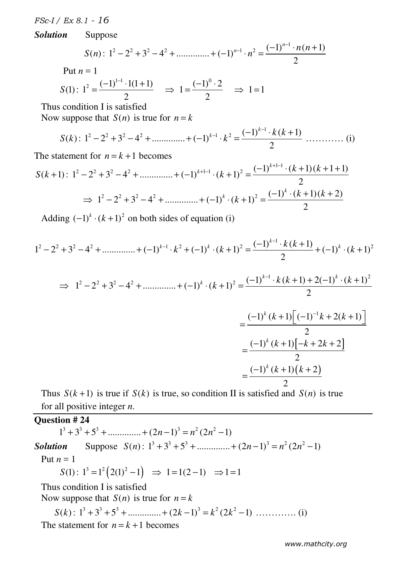*Solution* Suppose

$$
S(n): 12 - 22 + 32 - 42 + \dots + (-1)^{n-1} \cdot n2 = \frac{(-1)^{n-1} \cdot n(n+1)}{2}
$$
  
Put  $n = 1$ 

$$
S(1): 12 = \frac{(-1)^{1-1} \cdot 1(1+1)}{2} \Rightarrow 1 = \frac{(-1)^{0} \cdot 2}{2} \Rightarrow 1 = 1
$$

Thus condition I is satisfied

Now suppose that  $S(n)$  is true for  $n = k$ 

$$
S(k): 12 - 22 + 32 - 42 + \dots + (-1)k-1 \cdot k2 = \frac{(-1)^{k-1} \cdot k(k+1)}{2} \dots \dots \dots \dots \dots (i)
$$

The statement for  $n = k + 1$  becomes

$$
S(k+1): 12 - 22 + 32 - 42 + \dots + (-1)^{k+1-1} \cdot (k+1)2 = \frac{(-1)^{k+1-1} \cdot (k+1)(k+1+1)}{2}
$$
  
\n
$$
\Rightarrow 12 - 22 + 32 - 42 + \dots + (-1)^{k} \cdot (k+1)2 = \frac{(-1)^{k} \cdot (k+1)(k+2)}{2}
$$

Adding  $(-1)^k \cdot (k+1)^2$  on both sides of equation (i)

$$
1^2 - 2^2 + 3^2 - 4^2 + \dots + (-1)^{k-1} \cdot k^2 + (-1)^k \cdot (k+1)^2 = \frac{(-1)^{k-1} \cdot k(k+1)}{2} + (-1)^k \cdot (k+1)^2
$$

$$
\Rightarrow 1^2 - 2^2 + 3^2 - 4^2 + \dots + (-1)^k \cdot (k+1)^2 = \frac{(-1)^{k-1} \cdot k(k+1) + 2(-1)^k \cdot (k+1)^2}{2}
$$

$$
=\frac{(-1)^k (k+1) \left[(-1)^{-1}k+2(k+1)\right]}{2}
$$

$$
=\frac{(-1)^k (k+1) \left[-k+2k+2\right]}{2}
$$

$$
=\frac{(-1)^k (k+1) (k+2)}{2}
$$

Thus  $S(k+1)$  is true if  $S(k)$  is true, so condition II is satisfied and  $S(n)$  is true for all positive integer *n*.

# **Question # 24**

 $1^3 + 3^3 + 5^3 + \dots + (2n-1)^3 = n^2 (2n^2 - 1)$ **Solution** Suppose  $S(n)$ :  $1^3 + 3^3 + 5^3 + \dots + (2n - 1)^3 = n^2 (2n^2 - 1)$ Put  $n = 1$  $S(1): 1^3 = 1^2 (2(1)^2 - 1) \Rightarrow 1 = 1(2 - 1) \Rightarrow 1 = 1$  Thus condition I is satisfied Now suppose that  $S(n)$  is true for  $n = k$  $S(k)$ :  $1^3 + 3^3 + 5^3 + \dots + (2k-1)^3 = k^2 (2k^2 - 1) \dots \dots \dots \dots$  (i) The statement for  $n = k + 1$  becomes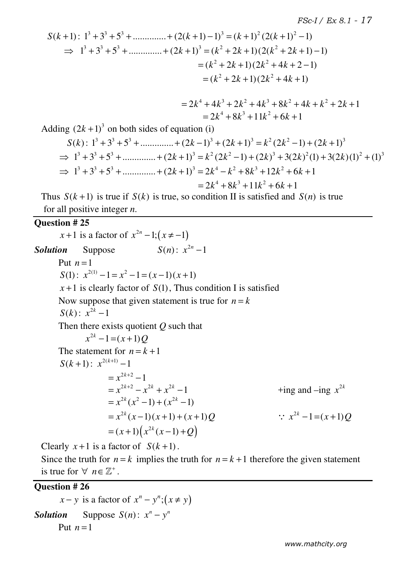$$
S(k+1): 13 + 33 + 53 + \dots + (2(k+1) - 1)3 = (k+1)2 (2(k+1)2 - 1)
$$
  
\n
$$
\Rightarrow 13 + 33 + 53 + \dots + (2k+1)3 = (k2 + 2k + 1)(2(k2 + 2k + 1) - 1)
$$
  
\n
$$
= (k2 + 2k + 1)(2k2 + 4k + 2 - 1)
$$
  
\n
$$
= (k2 + 2k + 1)(2k2 + 4k + 1)
$$

$$
= 2k4 + 4k3 + 2k2 + 4k3 + 8k2 + 4k + k2 + 2k + 1
$$
  
= 2k<sup>4</sup> + 8k<sup>3</sup> + 11k<sup>2</sup> + 6k + 1

Adding  $(2k+1)^3$  on both sides of equation (i)

$$
S(k): 13 + 33 + 53 + \dots + (2k - 1)3 + (2k + 1)3 = k2 (2k2 - 1) + (2k + 1)3
$$
  
\n
$$
\Rightarrow 13 + 33 + 53 + \dots + (2k + 1)3 = k2 (2k2 - 1) + (2k)3 + 3(2k)2 (1) + 3(2k)(1)2 + (1)3
$$
  
\n
$$
\Rightarrow 13 + 33 + 53 + \dots + (2k + 1)3 = 2k4 - k2 + 8k3 + 12k2 + 6k + 1
$$
  
\n
$$
= 2k4 + 8k3 + 11k2 + 6k + 1
$$

Thus  $S(k+1)$  is true if  $S(k)$  is true, so condition II is satisfied and  $S(n)$  is true for all positive integer *n*.

## **Question # 25**

 $x+1$  is a factor of  $x^{2n} - 1$ ;  $(x \neq -1)$ *Solution* Suppose  $S(n): x^{2n} - 1$ Put  $n=1$  $S(1)$ :  $x^{2(1)} - 1 = x^2 - 1 = (x - 1)(x + 1)$  $x+1$  is clearly factor of  $S(1)$ , Thus condition I is satisfied Now suppose that given statement is true for  $n = k$ *S*(*k*):  $x^{2k} - 1$  Then there exists quotient *Q* such that  $x^{2k} - 1 = (x + 1)Q$ The statement for  $n = k + 1$ *S*( $k+1$ ):  $x^{2(k+1)} - 1$  $x^{2k+2} - 1$  $= x^{2k+2} - x^{2k} + x^{2k} - 1$  +ing and –ing  $x^{2k}$  $+$ ing and  $-$ ing  $x^{2k}$  $= x^{2k} (x^2 - 1) + (x^{2k} - 1)$  $= x^{2k}(x-1)(x+1) + (x+1)Q$  $\therefore$   $x^{2k} - 1 = (x+1)Q$  $= (x+1) (x^{2k} (x-1) + Q)$ 

Clearly  $x+1$  is a factor of  $S(k+1)$ .

Since the truth for  $n = k$  implies the truth for  $n = k + 1$  therefore the given statement is true for  $\forall$   $n \in \mathbb{Z}^+$ .

## **Question # 26**

 $x - y$  is a factor of  $x^n - y^n$ ;  $(x \neq y)$ *Solution* Suppose  $S(n)$ :  $x^n - y^n$ Put  $n=1$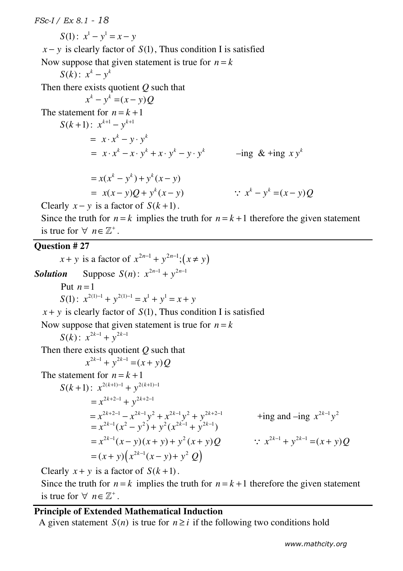*FSc-I / Ex 8.1 - 18 S*(1):  $x^1 - y^1 = x - y$  $x - y$  is clearly factor of *S*(1), Thus condition I is satisfied Now suppose that given statement is true for  $n = k$ *S(k)*:  $x^k - y^k$  Then there exists quotient *Q* such that  $(x^k - y^k) = (x - y)$ The statement for  $n = k + 1$ *S*( $k+1$ ):  $x^{k+1} - y^{k+1}$  $= x \cdot x^k - y \cdot y^k$  $= x \cdot x^k - x \cdot y^k + x \cdot y^k - y \cdot y^k$  –ing & +ing  $x y^k$  $= x(x^{k} - y^{k}) + y^{k} (x - y)$  $= x(x-y)Q + y^{k}(x-y)$  ∴  $x^{k} - y^{k} = (x-y)Q$ Clearly  $x - y$  is a factor of  $S(k+1)$ . Since the truth for  $n = k$  implies the truth for  $n = k + 1$  therefore the given statement is true for  $\forall$   $n \in \mathbb{Z}^+$ . **Question # 27**   $x + y$  is a factor of  $x^{2n-1} + y^{2n-1}$ ;  $(x \neq y)$ *Solution* Suppose  $S(n)$ :  $x^{2n-1} + y^{2n-1}$ Put  $n=1$  $S(1)$ :  $x^{2(1)-1} + y^{2(1)-1} = x^1 + y^1 = x + y$  $x + y$  is clearly factor of  $S(1)$ , Thus condition I is satisfied Now suppose that given statement is true for  $n = k$ *S*(*k*):  $x^{2k-1} + y^{2k-1}$  Then there exists quotient *Q* such that  $x^{2k-1} + y^{2k-1} = (x + y)Q$ The statement for  $n = k + 1$  $S(k+1)$ :  $x^{2(k+1)-1} + y^{2(k+1)-1}$  $= x^{2k+2-1} + y^{2k+2-1}$  $= x^{2k-1}(x^2 - y^2) + y^2(x^{2k-1} + y^{2k-1})$  $\therefore$   $x^{2k-1} + y^{2k-1} = (x + y)Q$  $= x^{2k+2-1} - x^{2k-1}y^2 + x^{2k-1}y^2 + y^{2k+2-1}$  +ing and –ing  $x^{2k-1}y^2$  $+$ *ing and*  $-$ *<i>ing*  $x^{2k-1}y^2$ 

$$
= x^{2k-1}(x-y)(x+y) + y^{2}(x+y)Q
$$
  
=  $(x+y)\left(x^{2k-1}(x-y) + y^{2}Q\right)$ 

Clearly  $x + y$  is a factor of  $S(k+1)$ .

Since the truth for  $n = k$  implies the truth for  $n = k + 1$  therefore the given statement is true for  $\forall$   $n \in \mathbb{Z}^+$ .

## **Principle of Extended Mathematical Induction**

A given statement  $S(n)$  is true for  $n \geq i$  if the following two conditions hold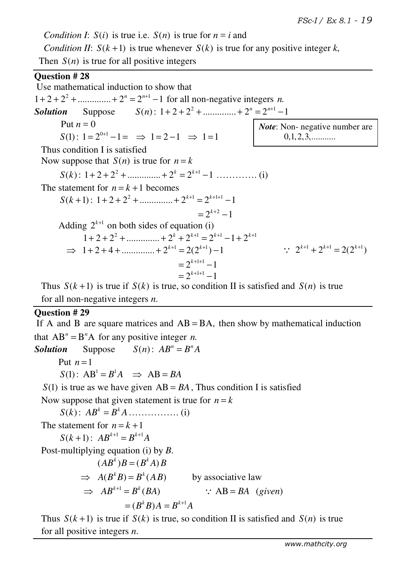*Condition I:*  $S(i)$  is true i.e.  $S(n)$  is true for  $n = i$  and *Condition II:*  $S(k+1)$  is true whenever  $S(k)$  is true for any positive integer k, Then  $S(n)$  is true for all positive integers

## **Question # 28**

 Use mathematical induction to show that  $1 + 2 + 2^2 + \dots + 2^n = 2^{n+1} - 1$  for all non-negative integers *n*. *Solution* Suppose  $S(n): 1+2+2^2+...+2^n = 2^{n+1}-1$ Put  $n = 0$  $S(1)$ :  $1 = 2^{0+1} - 1 = \implies 1 = 2 - 1 \implies 1 = 1$  Thus condition I is satisfied Now suppose that  $S(n)$  is true for  $n = k$  $S(k)$ :  $1 + 2 + 2^2 + \dots + 2^k = 2^{k+1} - 1 \dots \dots \dots \dots$  (i) The statement for  $n = k + 1$  becomes  $S(k+1): 1+2+2^2+...$   $2^{k+1}=2^{k+1+1}-1$  $= 2^{k+2} - 1$ Adding  $2^{k+1}$  on both sides of equation (i)  $1 + 2 + 2^2 + \dots + 2^{k} + 2^{k+1} = 2^{k+1} - 1 + 2^{k+1}$  $\implies$  1 + 2 + 4 + ............... + 2<sup>k+1</sup> = 2(2<sup>k+1</sup>) - 1  $= 2^{k+1+1} - 1$  $= 2^{k+1+1} - 1$ Thus  $S(k+1)$  is true if  $S(k)$  is true, so condition II is satisfied and  $S(n)$  is true  $\therefore$   $2^{k+1} + 2^{k+1} = 2(2^{k+1})$ *Note*: Non- negative number are  $0,1,2,3,...$ 

for all non-negative integers *n*.

## **Question # 29**

If A and B are square matrices and  $AB = BA$ , then show by mathematical induction that  $AB^n = B^nA$  for any positive integer *n*. *Solution* Suppose  $S(n)$ :  $AB^n = B^nA$ Put  $n=1$  $S(1)$ :  $AB^1 = B^1A \implies AB = BA$  $S(1)$  is true as we have given  $AB = BA$ , Thus condition I is satisfied Now suppose that given statement is true for  $n = k$  $S(k)$ :  $AB^{k} = B^{k}A$  … … … (i) The statement for  $n = k + 1$  $S(k+1)$ :  $AB^{k+1} = B^{k+1}A$ Post-multiplying equation (i) by *B*.

$$
(ABk)B = (BkA)B
$$
  
\n
$$
\Rightarrow A(BkB) = Bk(AB)
$$
 by associative law  
\n
$$
\Rightarrow ABk+1 = Bk(BA)
$$
  $\therefore AB = BA$  (given)  
\n
$$
= (BkB)A = Bk+1A
$$

Thus  $S(k+1)$  is true if  $S(k)$  is true, so condition II is satisfied and  $S(n)$  is true for all positive integers *n*.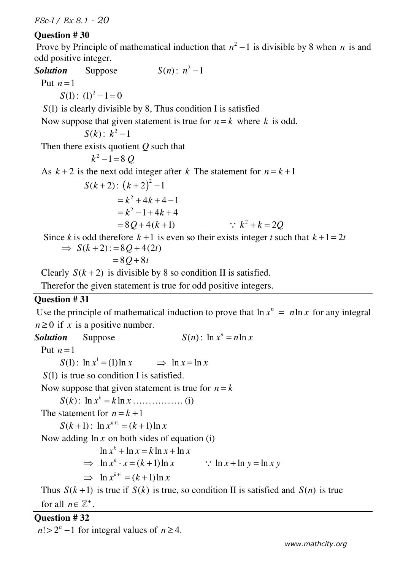## **Question # 30**

Prove by Principle of mathematical induction that  $n^2 - 1$  is divisible by 8 when *n* is and odd positive integer.

*Solution* Suppose  $S(n) : n^2 - 1$ Put  $n=1$  $S(1)$ :  $(1)^2 - 1 = 0$  *S*(1) is clearly divisible by 8, Thus condition I is satisfied Now suppose that given statement is true for  $n = k$  where k is odd. *S*(*k*):  $k^2 - 1$  Then there exists quotient *Q* such that  $k^2 - 1 = 8 Q$ As  $k + 2$  is the next odd integer after k The statement for  $n = k + 1$  $S(k+2)$ :  $(k+2)^2-1$  $= k^2 + 4k + 4 - 1$  $=k^2-1+4k+4$  $= 80 + 4(k + 1)$ ∴  $k^2 + k = 2Q$ Since *k* is odd therefore  $k+1$  is even so their exists integer *t* such that  $k+1 = 2t$  $\Rightarrow S(k+2) := 8Q + 4(2t)$  $= 80 + 8t$ 

Clearly  $S(k+2)$  is divisible by 8 so condition II is satisfied.

Therefor the given statement is true for odd positive integers.

#### **Question # 31**

Use the principle of mathematical induction to prove that  $\ln x^n = n \ln x$  for any integral  $n \geq 0$  if *x* is a positive number.

**Solution** Suppose  $S(n)$ :  $\ln x^n = n \ln x$ 

Put  $n=1$ 

 $S(1)$ :  $\ln x^1 = (1) \ln x$   $\implies \ln x = \ln x$ 

*S*(1) is true so condition I is satisfied.

Now suppose that given statement is true for  $n = k$ 

*S k*( ) : ln ln *<sup>k</sup> x k x* = ……………. (i)

The statement for  $n = k + 1$ 

 $S(k+1)$ :  $\ln x^{k+1} = (k+1)\ln x$ 

Now adding  $\ln x$  on both sides of equation (i)

$$
\ln x^{k} + \ln x = k \ln x + \ln x
$$
  
\n
$$
\Rightarrow \ln x^{k} \cdot x = (k+1) \ln x \qquad \therefore \ln x + \ln y = \ln x y
$$

$$
\Rightarrow \ln x^{k+1} = (k+1)\ln x
$$

Thus  $S(k+1)$  is true if  $S(k)$  is true, so condition II is satisfied and  $S(n)$  is true

for all  $n \in \mathbb{Z}^+$ .

## **Question # 32**

 $n! > 2^n - 1$  for integral values of  $n \ge 4$ .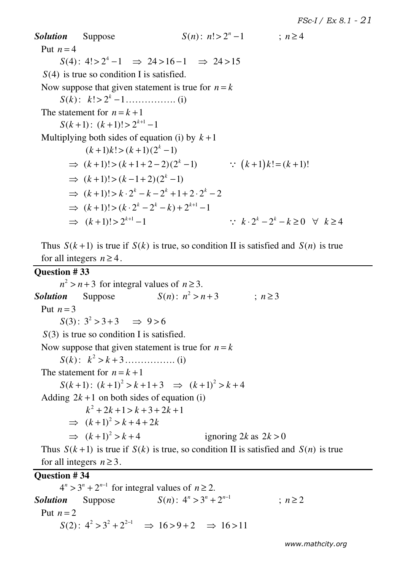*Solution* Suppose  $S(n) : n! > 2^n - 1$  ;  $n \ge 4$ Put  $n=4$  $S(4)$ :  $4! > 2^4 - 1 \Rightarrow 24 > 16 - 1 \Rightarrow 24 > 15$  *S*(4) is true so condition I is satisfied. Now suppose that given statement is true for  $n = k$ *S k*( ) : ! 2 1 *<sup>k</sup> k* > − ……………. (i) The statement for  $n = k + 1$  $S(k+1)$ :  $(k+1)!$  >  $2^{k+1}$  -1 Multiplying both sides of equation (i) by  $k+1$  $(k+1)k! > (k+1)(2<sup>k</sup> - 1)$  $\Rightarrow$   $(k+1)!$  >  $(k+1+2-2)(2<sup>k</sup> - 1)$   $\therefore$   $(k+1)k! = (k+1)!$  $\Rightarrow (k+1)! > (k-1+2)(2^{k}-1)$  $\Rightarrow$   $(k+1)! > k \cdot 2^{k} - k - 2^{k} + 1 + 2 \cdot 2^{k} - 2$  $\Rightarrow$   $(k+1)! > (k \cdot 2^{k} - 2^{k} - k) + 2^{k+1} - 1$  $\implies$   $(k+1)! > 2^{k+1} - 1$  $\cdots k \cdot 2^k - 2^k - k \geq 0 \quad \forall k \geq 4$ 

Thus  $S(k+1)$  is true if  $S(k)$  is true, so condition II is satisfied and  $S(n)$  is true for all integers  $n \geq 4$ .

### **Question # 33**

 $n^2 > n + 3$  for integral values of  $n \ge 3$ . **Solution** Suppose  $S(n) : n^2 > n+3$  ;  $n \ge 3$ Put  $n=3$  $S(3) : 3^2 > 3 + 3 \implies 9 > 6$ *S*(3) is true so condition I is satisfied. Now suppose that given statement is true for  $n = k$ *S k*( ) : 2 *k k* > + 3……………. (i) The statement for  $n = k + 1$  $S(k+1)$ :  $(k+1)^2 > k+1+3 \implies (k+1)^2 > k+4$ Adding  $2k + 1$  on both sides of equation (i)  $k^2 + 2k + 1 > k + 3 + 2k + 1$  $\Rightarrow$   $(k+1)^2 > k+4+2k$  $\Rightarrow$   $(k+1)^2 > k+4$  ignoring 2*k* as  $2k > 0$ Thus  $S(k+1)$  is true if  $S(k)$  is true, so condition II is satisfied and  $S(n)$  is true

for all integers  $n \geq 3$ .

## **Question # 34**

 $4^n > 3^n + 2^{n-1}$  for integral values of  $n \ge 2$ . *Solution* Suppose  $S(n): 4^n > 3^n + 2^{n-1}$  ;  $n \ge 2$ Put  $n=2$  $S(2)$ :  $4^2 > 3^2 + 2^{2-1} \Rightarrow 16 > 9 + 2 \Rightarrow 16 > 11$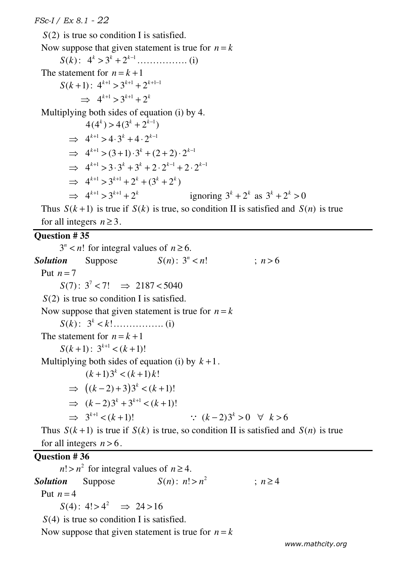*S*(2) is true so condition I is satisfied. Now suppose that given statement is true for  $n = k$  $S(k)$ :  $4^{k} > 3^{k} + 2^{k-1}$  … *(i)* The statement for  $n = k + 1$  $S(k+1)$ :  $4^{k+1} > 3^{k+1} + 2^{k+1-1}$  $\rightarrow$  4<sup>k+1</sup> > 3<sup>k+1</sup> + 2<sup>k</sup> Multiplying both sides of equation (i) by 4.  $4(4^k) > 4(3^k + 2^{k-1})$  $\rightarrow$  4<sup>k+1</sup> > 4.3<sup>k</sup> + 4.2<sup>k-1</sup>  $\implies$  4<sup>k+1</sup> > (3+1)  $\cdot$ 3<sup>k</sup> + (2+2)  $\cdot$  2<sup>k-1</sup>  $\implies$  4<sup>k+1</sup> > 3 · 3<sup>k</sup> + 3<sup>k</sup> + 2 · 2<sup>k-1</sup> + 2 · 2<sup>k-1</sup>  $\implies$  4<sup>k+1</sup> > 3<sup>k+1</sup> + 2<sup>k</sup> + (3<sup>k</sup> + 2<sup>k</sup>) ⇒  $4^{k+1} > 3^{k+1} + 2^k$  ignoring  $3^k + 2^k$  as  $3^k + 2^k > 0$ 

Thus  $S(k+1)$  is true if  $S(k)$  is true, so condition II is satisfied and  $S(n)$  is true for all integers  $n \geq 3$ .

## **Question # 35**

 $3^n < n!$  for integral values of  $n \ge 6$ . **Solution** Suppose  $S(n): 3^n < n!$  $: n > 6$ Put  $n=7$  $S(7)$ :  $3^7$  < 7!  $\Rightarrow$  2187 < 5040 *S*(2) is true so condition I is satisfied. Now suppose that given statement is true for  $n = k$ *S k*( ) : 3 ! *<sup>k</sup>* < *k* ……………. (i) The statement for  $n = k + 1$  $S(k+1)$ :  $3^{k+1} < (k+1)!$ Multiplying both sides of equation (i) by  $k+1$ .  $(k+1)3^{k} < (k+1)k!$  $\Rightarrow$   $((k-2)+3)3^{k} < (k+1)!$  $\implies$   $(k-2)3^k + 3^{k+1} < (k+1)!$  $\Rightarrow$  3<sup>k+1</sup> < (k+1)!  $\therefore$   $(k-2)3^{k} > 0$  ∀  $k > 6$ Thus  $S(k+1)$  is true if  $S(k)$  is true, so condition II is satisfied and  $S(n)$  is true for all integers  $n > 6$ .

## **Question # 36**

 $n! > n^2$  for integral values of  $n \geq 4$ . **Solution** Suppose  $S(n)$ :  $n! > n^2$  $n > 4$ Put  $n=4$  $S(4): 4! > 4^2 \implies 24 > 16$ *S*(4) is true so condition I is satisfied.

Now suppose that given statement is true for  $n = k$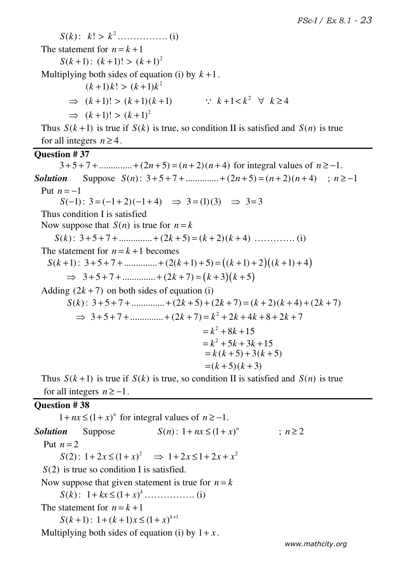*S k*( ) : 2 *k k* ! > ……………. (i)

The statement for  $n = k + 1$ 

 $S(k+1)$ :  $(k+1)!$  >  $(k+1)^2$ 

Multiplying both sides of equation (i) by  $k+1$ .

$$
(k+1)k! > (k+1)k2
$$
  
\n⇒  $(k+1)! > (k+1)(k+1)$    
\n⇒  $(k+1)! > (k+1)^2$    
\n∴  $k+1 < k^2 \forall k \ge 4$ 

Thus  $S(k+1)$  is true if  $S(k)$  is true, so condition II is satisfied and  $S(n)$  is true for all integers  $n \geq 4$ .

#### **Question # 37**

 $3+5+7+$ ..............  $(2n+5)=(n+2)(n+4)$  for integral values of  $n \ge -1$ . *Solution* Suppose  $S(n)$ :  $3+5+7+$ ...............  $+(2n+5)=(n+2)(n+4)$ ;  $n \ge -1$ Put  $n = -1$  $S(-1)$ :  $3 = (-1 + 2)(-1 + 4)$   $\Rightarrow$   $3 = (1)(3)$   $\Rightarrow$   $3 = 3$  Thus condition I is satisfied Now suppose that  $S(n)$  is true for  $n = k$  *S k*( ) : 3 5 7 .............. (2 5) ( 2)( 4) + + + + + = + + *k k k* …………. (i) The statement for  $n = k + 1$  becomes  $S(k+1)$ :  $3+5+7+$ ..............+  $(2(k+1)+5) = ((k+1)+2)((k+1)+4)$  $\Rightarrow$  3+5+7+.............+(2k+7)=(k+3)(k+5) Adding  $(2k + 7)$  on both sides of equation (i)  $S(k)$ :  $3 + 5 + 7 +$ ............... +  $(2k + 5) + (2k + 7) = (k + 2)(k + 4) + (2k + 7)$  $\Rightarrow$  3+5+7+..............+(2k+7)=k<sup>2</sup> + 2k + 4k + 8 + 2k + 7  $= k^2 + 8k + 15$  $=k^2+5k+3k+15$  $= k (k + 5) + 3(k + 5)$  $=(k + 5)(k + 3)$ 

Thus  $S(k+1)$  is true if  $S(k)$  is true, so condition II is satisfied and  $S(n)$  is true for all integers  $n \ge -1$ .

#### **Question # 38**

 $1 + nx \le (1 + x)^n$  for integral values of  $n \ge -1$ . *Solution* Suppose  $S(n): 1 + nx \le (1 + x)^n$  ;  $n \ge 2$ Put  $n = 2$  $S(2)$ :  $1 + 2x \le (1 + x)^2 \implies 1 + 2x \le 1 + 2x + x^2$ *S*(2) is true so condition I is satisfied. Now suppose that given statement is true for  $n = k$  $S(k)$ :  $1 + kx \le (1 + x)^k$  … ………….. (i) The statement for  $n = k + 1$  $S(k+1)$ :  $1 + (k+1)x \le (1+x)^{k+1}$ Multiplying both sides of equation (i) by  $1 + x$ .